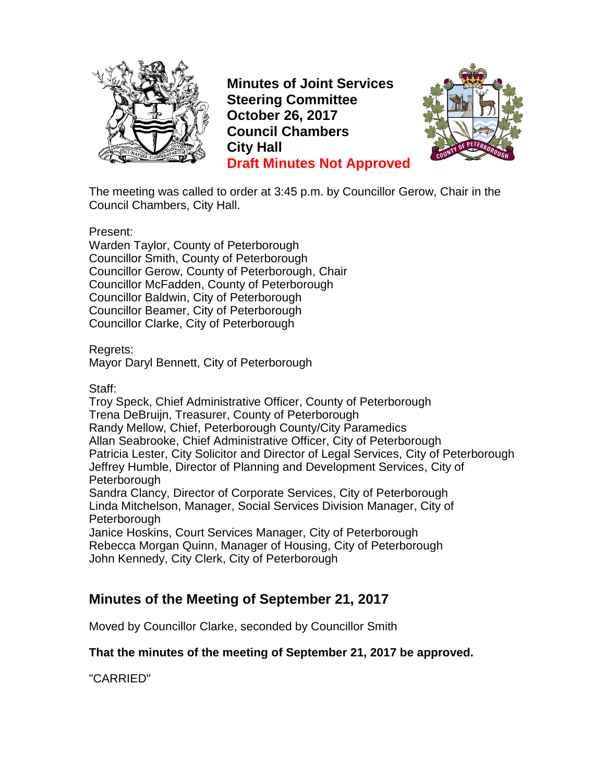

**Minutes of Joint Services Steering Committee October 26, 2017 Council Chambers City Hall Draft Minutes Not Approved**



The meeting was called to order at 3:45 p.m. by Councillor Gerow, Chair in the Council Chambers, City Hall.

Present:

Warden Taylor, County of Peterborough Councillor Smith, County of Peterborough Councillor Gerow, County of Peterborough, Chair Councillor McFadden, County of Peterborough Councillor Baldwin, City of Peterborough Councillor Beamer, City of Peterborough Councillor Clarke, City of Peterborough

Regrets:

Mayor Daryl Bennett, City of Peterborough

Staff:

Troy Speck, Chief Administrative Officer, County of Peterborough Trena DeBruijn, Treasurer, County of Peterborough Randy Mellow, Chief, Peterborough County/City Paramedics Allan Seabrooke, Chief Administrative Officer, City of Peterborough Patricia Lester, City Solicitor and Director of Legal Services, City of Peterborough Jeffrey Humble, Director of Planning and Development Services, City of **Peterborough** 

Sandra Clancy, Director of Corporate Services, City of Peterborough Linda Mitchelson, Manager, Social Services Division Manager, City of **Peterborough** 

Janice Hoskins, Court Services Manager, City of Peterborough Rebecca Morgan Quinn, Manager of Housing, City of Peterborough John Kennedy, City Clerk, City of Peterborough

## **Minutes of the Meeting of September 21, 2017**

Moved by Councillor Clarke, seconded by Councillor Smith

#### **That the minutes of the meeting of September 21, 2017 be approved.**

"CARRIED"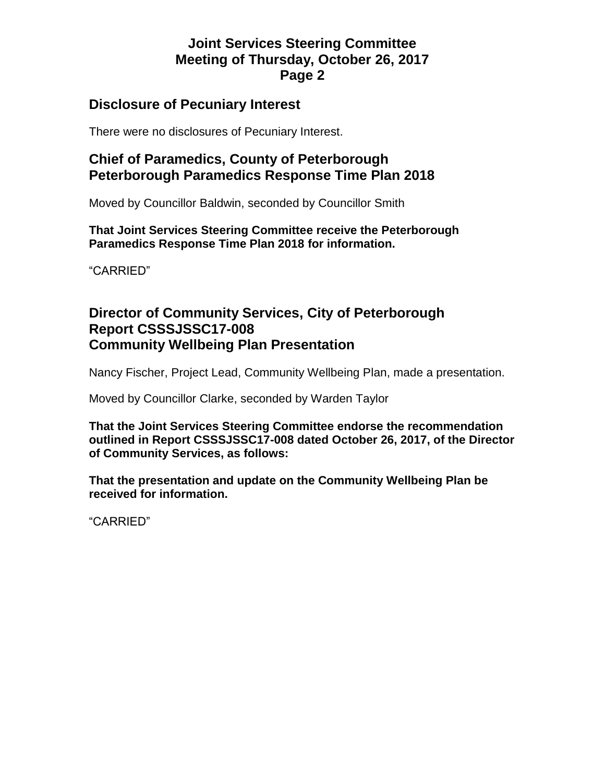### **Disclosure of Pecuniary Interest**

There were no disclosures of Pecuniary Interest.

## **Chief of Paramedics, County of Peterborough Peterborough Paramedics Response Time Plan 2018**

Moved by Councillor Baldwin, seconded by Councillor Smith

**That Joint Services Steering Committee receive the Peterborough Paramedics Response Time Plan 2018 for information.**

"CARRIED"

### **Director of Community Services, City of Peterborough Report CSSSJSSC17-008 Community Wellbeing Plan Presentation**

Nancy Fischer, Project Lead, Community Wellbeing Plan, made a presentation.

Moved by Councillor Clarke, seconded by Warden Taylor

**That the Joint Services Steering Committee endorse the recommendation outlined in Report CSSSJSSC17-008 dated October 26, 2017, of the Director of Community Services, as follows:**

**That the presentation and update on the Community Wellbeing Plan be received for information.**

"CARRIED"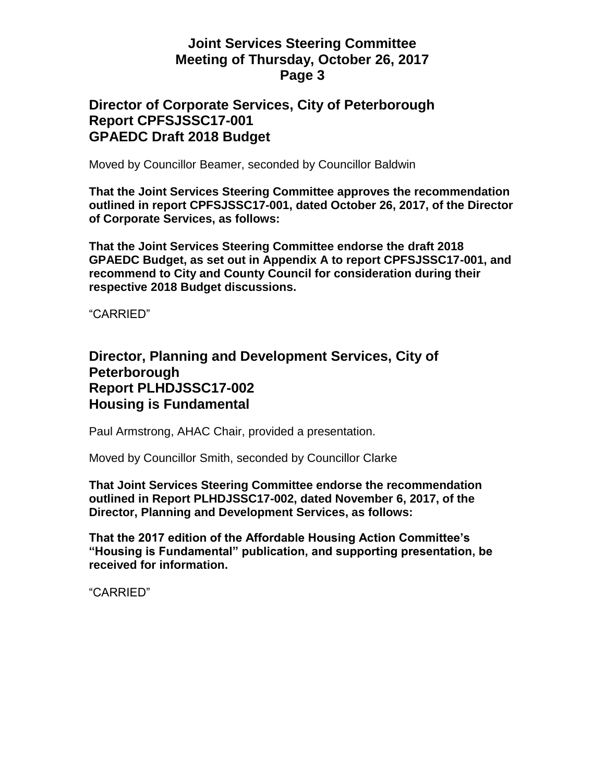#### **Director of Corporate Services, City of Peterborough Report CPFSJSSC17-001 GPAEDC Draft 2018 Budget**

Moved by Councillor Beamer, seconded by Councillor Baldwin

**That the Joint Services Steering Committee approves the recommendation outlined in report CPFSJSSC17-001, dated October 26, 2017, of the Director of Corporate Services, as follows:**

**That the Joint Services Steering Committee endorse the draft 2018 GPAEDC Budget, as set out in Appendix A to report CPFSJSSC17-001, and recommend to City and County Council for consideration during their respective 2018 Budget discussions.**

"CARRIED"

#### **Director, Planning and Development Services, City of Peterborough Report PLHDJSSC17-002 Housing is Fundamental**

Paul Armstrong, AHAC Chair, provided a presentation.

Moved by Councillor Smith, seconded by Councillor Clarke

**That Joint Services Steering Committee endorse the recommendation outlined in Report PLHDJSSC17-002, dated November 6, 2017, of the Director, Planning and Development Services, as follows:**

**That the 2017 edition of the Affordable Housing Action Committee's "Housing is Fundamental" publication, and supporting presentation, be received for information.**

"CARRIED"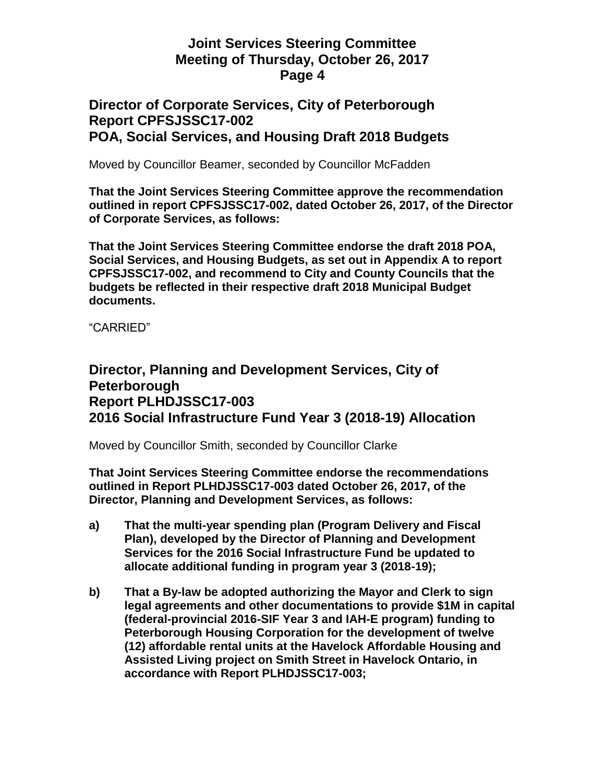### **Director of Corporate Services, City of Peterborough Report CPFSJSSC17-002 POA, Social Services, and Housing Draft 2018 Budgets**

Moved by Councillor Beamer, seconded by Councillor McFadden

**That the Joint Services Steering Committee approve the recommendation outlined in report CPFSJSSC17-002, dated October 26, 2017, of the Director of Corporate Services, as follows:**

**That the Joint Services Steering Committee endorse the draft 2018 POA, Social Services, and Housing Budgets, as set out in Appendix A to report CPFSJSSC17-002, and recommend to City and County Councils that the budgets be reflected in their respective draft 2018 Municipal Budget documents.**

"CARRIED"

### **Director, Planning and Development Services, City of Peterborough Report PLHDJSSC17-003 2016 Social Infrastructure Fund Year 3 (2018-19) Allocation**

Moved by Councillor Smith, seconded by Councillor Clarke

**That Joint Services Steering Committee endorse the recommendations outlined in Report PLHDJSSC17-003 dated October 26, 2017, of the Director, Planning and Development Services, as follows:**

- **a) That the multi-year spending plan (Program Delivery and Fiscal Plan), developed by the Director of Planning and Development Services for the 2016 Social Infrastructure Fund be updated to allocate additional funding in program year 3 (2018-19);**
- **b) That a By-law be adopted authorizing the Mayor and Clerk to sign legal agreements and other documentations to provide \$1M in capital (federal-provincial 2016-SIF Year 3 and IAH-E program) funding to Peterborough Housing Corporation for the development of twelve (12) affordable rental units at the Havelock Affordable Housing and Assisted Living project on Smith Street in Havelock Ontario, in accordance with Report PLHDJSSC17-003;**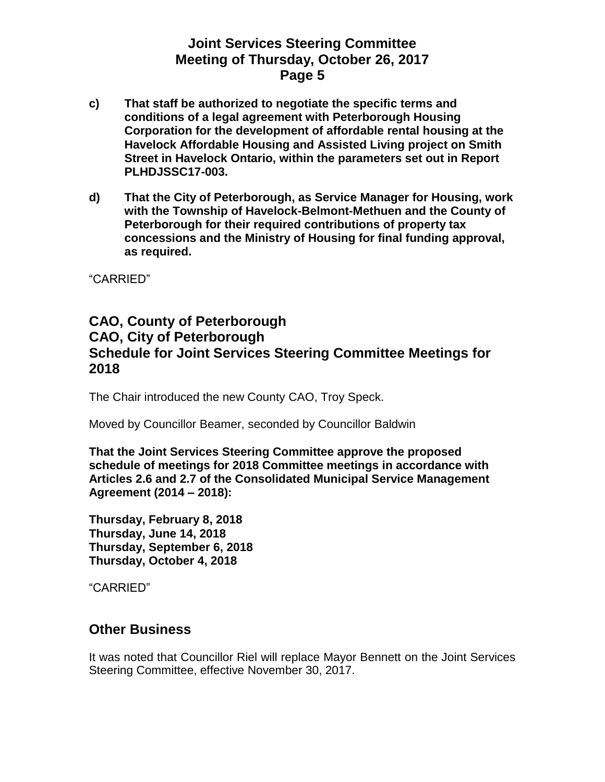- **c) That staff be authorized to negotiate the specific terms and conditions of a legal agreement with Peterborough Housing Corporation for the development of affordable rental housing at the Havelock Affordable Housing and Assisted Living project on Smith Street in Havelock Ontario, within the parameters set out in Report PLHDJSSC17-003.**
- **d) That the City of Peterborough, as Service Manager for Housing, work with the Township of Havelock-Belmont-Methuen and the County of Peterborough for their required contributions of property tax concessions and the Ministry of Housing for final funding approval, as required.**

"CARRIED"

### **CAO, County of Peterborough CAO, City of Peterborough Schedule for Joint Services Steering Committee Meetings for 2018**

The Chair introduced the new County CAO, Troy Speck.

Moved by Councillor Beamer, seconded by Councillor Baldwin

**That the Joint Services Steering Committee approve the proposed schedule of meetings for 2018 Committee meetings in accordance with Articles 2.6 and 2.7 of the Consolidated Municipal Service Management Agreement (2014 – 2018):**

**Thursday, February 8, 2018 Thursday, June 14, 2018 Thursday, September 6, 2018 Thursday, October 4, 2018**

"CARRIED"

## **Other Business**

It was noted that Councillor Riel will replace Mayor Bennett on the Joint Services Steering Committee, effective November 30, 2017.